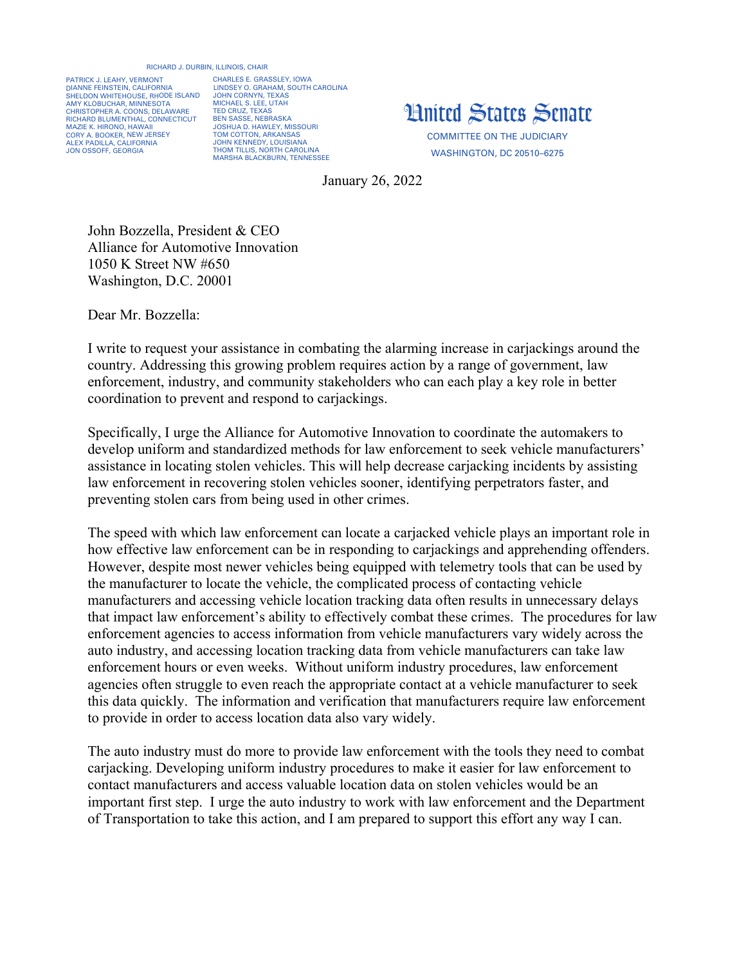## RICHARD J. DURBIN, ILLINOIS, CHAIR

PATRICK J. LEAHY, VERMONT DIANNE FEINSTEIN, CALIFORNIA SHELDON WHITEHOUSE, RHODE ISLAND AMY KLOBUCHAR, MINNESOTA CHRISTOPHER A. COONS, DELAWARE RICHARD BLUMENTHAL, CONNECTICUT MAZIE K. HIRONO, HAWAII CORY A. BOOKER, NEW JERSEY ALEX PADILLA, CALIFORNIA JON OSSOFF, GEORGIA

CHARLES E. GRASSLEY, IOWA LINDSEY O. GRAHAM, SOUTH CAROLINA JOHN CORNYN, TEXAS MICHAEL S. LEE, UTAH TED CRUZ, TEXAS BEN SASSE, NEBRASKA JOSHUA D. HAWLEY, MISSOURI TOM COTTON, ARKANSAS JOHN KENNEDY, LOUISIANA THOM TILLIS, NORTH CAROLINA MARSHA BLACKBURN, TENNESSEE



COMMITTEE ON THE JUDICIARY WASHINGTON, DC 20510–6275

January 26, 2022

John Bozzella, President & CEO Alliance for Automotive Innovation 1050 K Street NW #650 Washington, D.C. 20001

Dear Mr. Bozzella:

I write to request your assistance in combating the alarming increase in carjackings around the country. Addressing this growing problem requires action by a range of government, law enforcement, industry, and community stakeholders who can each play a key role in better coordination to prevent and respond to carjackings.

Specifically, I urge the Alliance for Automotive Innovation to coordinate the automakers to develop uniform and standardized methods for law enforcement to seek vehicle manufacturers' assistance in locating stolen vehicles. This will help decrease carjacking incidents by assisting law enforcement in recovering stolen vehicles sooner, identifying perpetrators faster, and preventing stolen cars from being used in other crimes.

The speed with which law enforcement can locate a carjacked vehicle plays an important role in how effective law enforcement can be in responding to carjackings and apprehending offenders. However, despite most newer vehicles being equipped with telemetry tools that can be used by the manufacturer to locate the vehicle, the complicated process of contacting vehicle manufacturers and accessing vehicle location tracking data often results in unnecessary delays that impact law enforcement's ability to effectively combat these crimes. The procedures for law enforcement agencies to access information from vehicle manufacturers vary widely across the auto industry, and accessing location tracking data from vehicle manufacturers can take law enforcement hours or even weeks. Without uniform industry procedures, law enforcement agencies often struggle to even reach the appropriate contact at a vehicle manufacturer to seek this data quickly. The information and verification that manufacturers require law enforcement to provide in order to access location data also vary widely.

The auto industry must do more to provide law enforcement with the tools they need to combat carjacking. Developing uniform industry procedures to make it easier for law enforcement to contact manufacturers and access valuable location data on stolen vehicles would be an important first step. I urge the auto industry to work with law enforcement and the Department of Transportation to take this action, and I am prepared to support this effort any way I can.